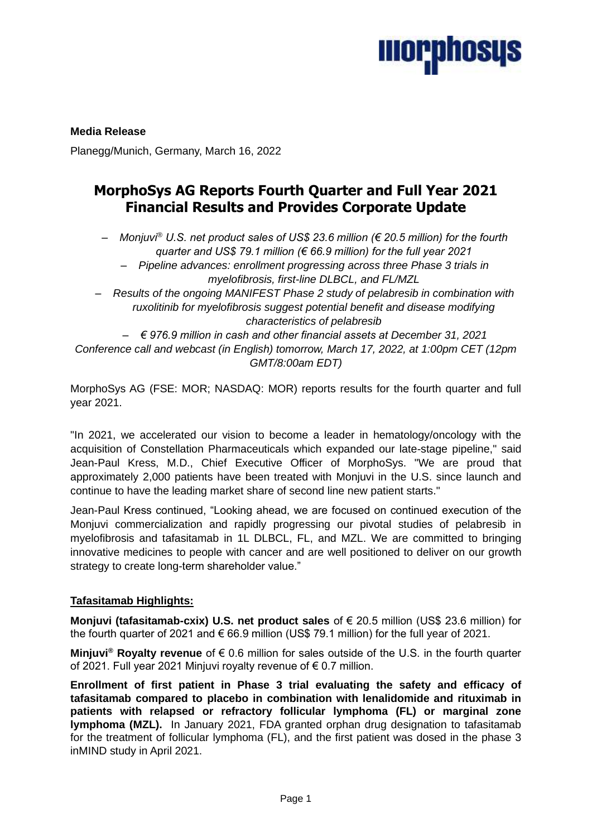

**Media Release** Planegg/Munich, Germany, March 16, 2022

# **MorphoSys AG Reports Fourth Quarter and Full Year 2021 Financial Results and Provides Corporate Update**

*– Monjuvi® U.S. net product sales of US\$ 23.6 million (€ 20.5 million) for the fourth quarter and US\$ 79.1 million (€ 66.9 million) for the full year 2021*

*– Pipeline advances: enrollment progressing across three Phase 3 trials in myelofibrosis, first-line DLBCL, and FL/MZL*

*– Results of the ongoing MANIFEST Phase 2 study of pelabresib in combination with ruxolitinib for myelofibrosis suggest potential benefit and disease modifying characteristics of pelabresib*

*– € 976.9 million in cash and other financial assets at December 31, 2021 Conference call and webcast (in English) tomorrow, March 17, 2022, at 1:00pm CET (12pm GMT/8:00am EDT)*

MorphoSys AG (FSE: MOR; NASDAQ: MOR) reports results for the fourth quarter and full year 2021.

"In 2021, we accelerated our vision to become a leader in hematology/oncology with the acquisition of Constellation Pharmaceuticals which expanded our late-stage pipeline," said Jean-Paul Kress, M.D., Chief Executive Officer of MorphoSys. "We are proud that approximately 2,000 patients have been treated with Monjuvi in the U.S. since launch and continue to have the leading market share of second line new patient starts."

Jean-Paul Kress continued, "Looking ahead, we are focused on continued execution of the Monjuvi commercialization and rapidly progressing our pivotal studies of pelabresib in myelofibrosis and tafasitamab in 1L DLBCL, FL, and MZL. We are committed to bringing innovative medicines to people with cancer and are well positioned to deliver on our growth strategy to create long-term shareholder value."

# **Tafasitamab Highlights:**

**Monjuvi (tafasitamab-cxix) U.S. net product sales** of € 20.5 million (US\$ 23.6 million) for the fourth quarter of 2021 and € 66.9 million (US\$ 79.1 million) for the full year of 2021.

**Minjuvi® Royalty revenue** of € 0.6 million for sales outside of the U.S. in the fourth quarter of 2021. Full year 2021 Minjuvi royalty revenue of € 0.7 million.

**Enrollment of first patient in Phase 3 trial evaluating the safety and efficacy of tafasitamab compared to placebo in combination with lenalidomide and rituximab in patients with relapsed or refractory follicular lymphoma (FL) or marginal zone lymphoma (MZL).** In January 2021, FDA granted orphan drug designation to tafasitamab for the treatment of follicular lymphoma (FL), and the first patient was dosed in the phase 3 inMIND study in April 2021.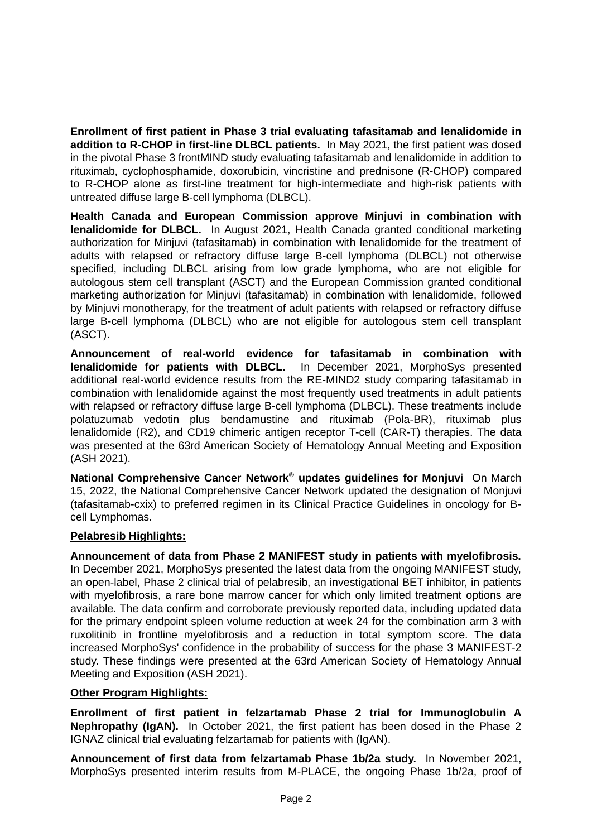**Enrollment of first patient in Phase 3 trial evaluating tafasitamab and lenalidomide in addition to R-CHOP in first-line DLBCL patients.** In May 2021, the first patient was dosed in the pivotal Phase 3 frontMIND study evaluating tafasitamab and lenalidomide in addition to rituximab, cyclophosphamide, doxorubicin, vincristine and prednisone (R-CHOP) compared to R-CHOP alone as first-line treatment for high-intermediate and high-risk patients with untreated diffuse large B-cell lymphoma (DLBCL).

**Health Canada and European Commission approve Minjuvi in combination with lenalidomide for DLBCL.** In August 2021, Health Canada granted conditional marketing authorization for Minjuvi (tafasitamab) in combination with lenalidomide for the treatment of adults with relapsed or refractory diffuse large B-cell lymphoma (DLBCL) not otherwise specified, including DLBCL arising from low grade lymphoma, who are not eligible for autologous stem cell transplant (ASCT) and the European Commission granted conditional marketing authorization for Minjuvi (tafasitamab) in combination with lenalidomide, followed by Minjuvi monotherapy, for the treatment of adult patients with relapsed or refractory diffuse large B-cell lymphoma (DLBCL) who are not eligible for autologous stem cell transplant (ASCT).

**Announcement of real-world evidence for tafasitamab in combination with lenalidomide for patients with DLBCL.** In December 2021, MorphoSys presented additional real-world evidence results from the RE-MIND2 study comparing tafasitamab in combination with lenalidomide against the most frequently used treatments in adult patients with relapsed or refractory diffuse large B-cell lymphoma (DLBCL). These treatments include polatuzumab vedotin plus bendamustine and rituximab (Pola-BR), rituximab plus lenalidomide (R2), and CD19 chimeric antigen receptor T-cell (CAR-T) therapies. The data was presented at the 63rd American Society of Hematology Annual Meeting and Exposition (ASH 2021).

**National Comprehensive Cancer Network® updates guidelines for Monjuvi** On March 15, 2022, the National Comprehensive Cancer Network updated the designation of Monjuvi (tafasitamab-cxix) to preferred regimen in its Clinical Practice Guidelines in oncology for Bcell Lymphomas.

### **Pelabresib Highlights:**

**Announcement of data from Phase 2 MANIFEST study in patients with myelofibrosis.**  In December 2021, MorphoSys presented the latest data from the ongoing MANIFEST study, an open-label, Phase 2 clinical trial of pelabresib, an investigational BET inhibitor, in patients with myelofibrosis, a rare bone marrow cancer for which only limited treatment options are available. The data confirm and corroborate previously reported data, including updated data for the primary endpoint spleen volume reduction at week 24 for the combination arm 3 with ruxolitinib in frontline myelofibrosis and a reduction in total symptom score. The data increased MorphoSys' confidence in the probability of success for the phase 3 MANIFEST-2 study. These findings were presented at the 63rd American Society of Hematology Annual Meeting and Exposition (ASH 2021).

### **Other Program Highlights:**

**Enrollment of first patient in felzartamab Phase 2 trial for Immunoglobulin A Nephropathy (IgAN).** In October 2021, the first patient has been dosed in the Phase 2 IGNAZ clinical trial evaluating felzartamab for patients with (IgAN).

**Announcement of first data from felzartamab Phase 1b/2a study.** In November 2021, MorphoSys presented interim results from M-PLACE, the ongoing Phase 1b/2a, proof of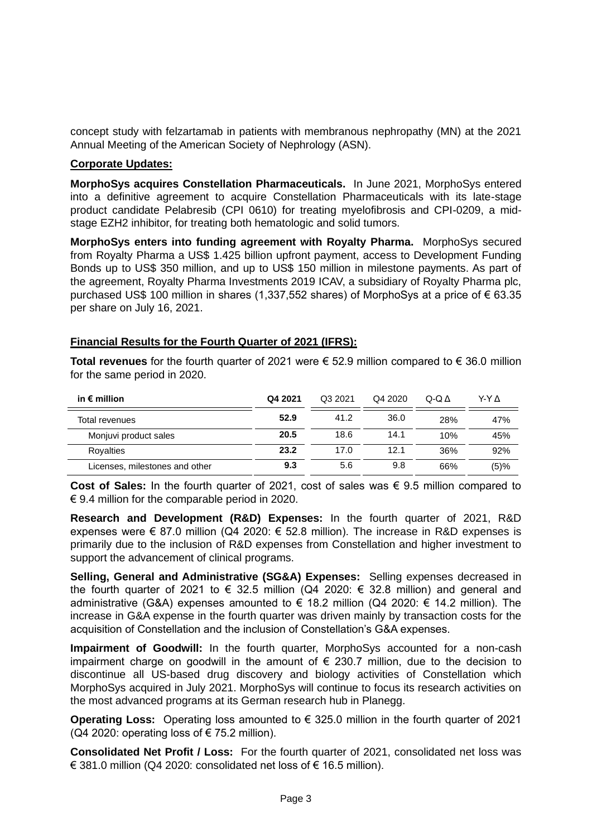concept study with felzartamab in patients with membranous nephropathy (MN) at the 2021 Annual Meeting of the American Society of Nephrology (ASN).

### **Corporate Updates:**

**MorphoSys acquires Constellation Pharmaceuticals.** In June 2021, MorphoSys entered into a definitive agreement to acquire Constellation Pharmaceuticals with its late-stage product candidate Pelabresib (CPI 0610) for treating myelofibrosis and CPI-0209, a midstage EZH2 inhibitor, for treating both hematologic and solid tumors.

**MorphoSys enters into funding agreement with Royalty Pharma.** MorphoSys secured from Royalty Pharma a US\$ 1.425 billion upfront payment, access to Development Funding Bonds up to US\$ 350 million, and up to US\$ 150 million in milestone payments. As part of the agreement, Royalty Pharma Investments 2019 ICAV, a subsidiary of Royalty Pharma plc, purchased US\$ 100 million in shares (1,337,552 shares) of MorphoSys at a price of € 63.35 per share on July 16, 2021.

## **Financial Results for the Fourth Quarter of 2021 (IFRS):**

**Total revenues** for the fourth quarter of 2021 were € 52.9 million compared to € 36.0 million for the same period in 2020.

| in $\epsilon$ million          | Q4 2021 | Q3 2021 | Q4 2020 | $Q-Q \Delta$ | Y-Y A |
|--------------------------------|---------|---------|---------|--------------|-------|
| Total revenues                 | 52.9    | 41.2    | 36.0    | 28%          | 47%   |
| Monjuvi product sales          | 20.5    | 18.6    | 14.1    | 10%          | 45%   |
| Royalties                      | 23.2    | 17.0    | 12.1    | 36%          | 92%   |
| Licenses, milestones and other | 9.3     | 5.6     | 9.8     | 66%          | (5)%  |
|                                |         |         |         |              |       |

**Cost of Sales:** In the fourth quarter of 2021, cost of sales was € 9.5 million compared to  $\epsilon$  9.4 million for the comparable period in 2020.

**Research and Development (R&D) Expenses:** In the fourth quarter of 2021, R&D expenses were  $\epsilon$  87.0 million (Q4 2020:  $\epsilon$  52.8 million). The increase in R&D expenses is primarily due to the inclusion of R&D expenses from Constellation and higher investment to support the advancement of clinical programs.

**Selling, General and Administrative (SG&A) Expenses:** Selling expenses decreased in the fourth quarter of 2021 to  $\epsilon$  32.5 million (Q4 2020:  $\epsilon$  32.8 million) and general and administrative (G&A) expenses amounted to € 18.2 million (Q4 2020: € 14.2 million). The increase in G&A expense in the fourth quarter was driven mainly by transaction costs for the acquisition of Constellation and the inclusion of Constellation's G&A expenses.

**Impairment of Goodwill:** In the fourth quarter, MorphoSys accounted for a non-cash impairment charge on goodwill in the amount of  $\epsilon$  230.7 million, due to the decision to discontinue all US-based drug discovery and biology activities of Constellation which MorphoSys acquired in July 2021. MorphoSys will continue to focus its research activities on the most advanced programs at its German research hub in Planegg.

**Operating Loss:** Operating loss amounted to € 325.0 million in the fourth quarter of 2021 ( $Q4$  2020: operating loss of  $E$  75.2 million).

**Consolidated Net Profit / Loss:** For the fourth quarter of 2021, consolidated net loss was € 381.0 million (Q4 2020: consolidated net loss of  $€$  16.5 million).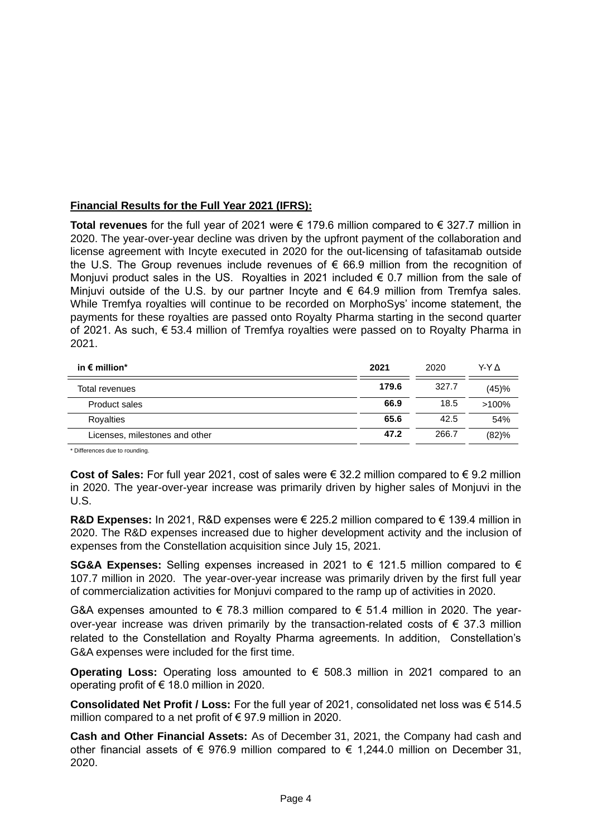# **Financial Results for the Full Year 2021 (IFRS):**

**Total revenues** for the full year of 2021 were € 179.6 million compared to € 327.7 million in 2020. The year-over-year decline was driven by the upfront payment of the collaboration and license agreement with Incyte executed in 2020 for the out-licensing of tafasitamab outside the U.S. The Group revenues include revenues of  $\epsilon$  66.9 million from the recognition of Monjuvi product sales in the US. Royalties in 2021 included  $\epsilon$  0.7 million from the sale of Minjuvi outside of the U.S. by our partner Incyte and  $\epsilon$  64.9 million from Tremfya sales. While Tremfya royalties will continue to be recorded on MorphoSys' income statement, the payments for these royalties are passed onto Royalty Pharma starting in the second quarter of 2021. As such, € 53.4 million of Tremfya royalties were passed on to Royalty Pharma in 2021.

| in $\epsilon$ million*         | 2021  |       | Y-Y A    |  |
|--------------------------------|-------|-------|----------|--|
| Total revenues                 | 179.6 | 327.7 | (45)%    |  |
| Product sales                  | 66.9  | 18.5  | $>100\%$ |  |
| Royalties                      | 65.6  | 42.5  | 54%      |  |
| Licenses, milestones and other | 47.2  | 266.7 | (82)%    |  |

\* Differences due to rounding.

**Cost of Sales:** For full year 2021, cost of sales were € 32.2 million compared to € 9.2 million in 2020. The year-over-year increase was primarily driven by higher sales of Monjuvi in the U.S.

**R&D Expenses:** In 2021, R&D expenses were € 225.2 million compared to € 139.4 million in 2020. The R&D expenses increased due to higher development activity and the inclusion of expenses from the Constellation acquisition since July 15, 2021.

**SG&A Expenses:** Selling expenses increased in 2021 to € 121.5 million compared to € 107.7 million in 2020. The year-over-year increase was primarily driven by the first full year of commercialization activities for Monjuvi compared to the ramp up of activities in 2020.

G&A expenses amounted to  $\epsilon$  78.3 million compared to  $\epsilon$  51.4 million in 2020. The yearover-year increase was driven primarily by the transaction-related costs of  $\epsilon$  37.3 million related to the Constellation and Royalty Pharma agreements. In addition, Constellation's G&A expenses were included for the first time.

**Operating Loss:** Operating loss amounted to € 508.3 million in 2021 compared to an operating profit of € 18.0 million in 2020.

**Consolidated Net Profit / Loss:** For the full year of 2021, consolidated net loss was € 514.5 million compared to a net profit of  $\epsilon$  97.9 million in 2020.

**Cash and Other Financial Assets:** As of December 31, 2021, the Company had cash and other financial assets of  $\epsilon$  976.9 million compared to  $\epsilon$  1,244.0 million on December 31, 2020.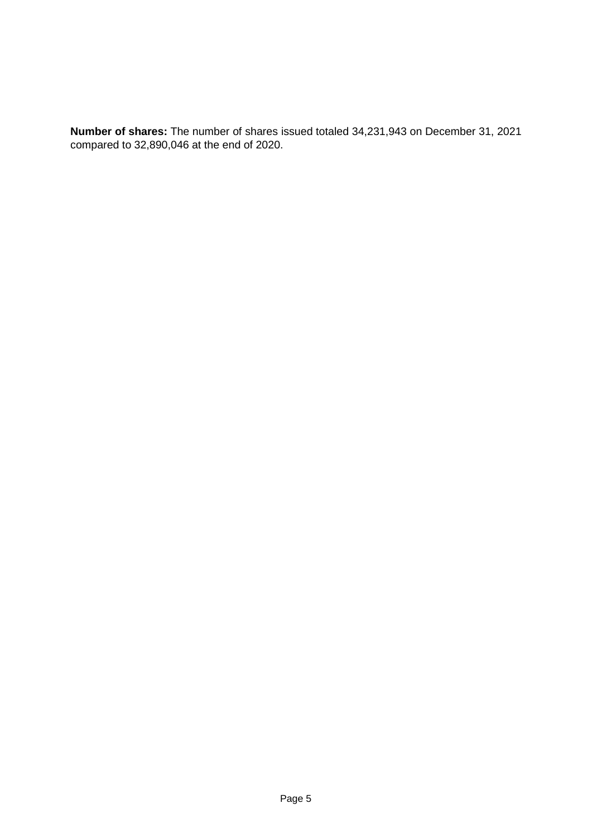**Number of shares:** The number of shares issued totaled 34,231,943 on December 31, 2021 compared to 32,890,046 at the end of 2020.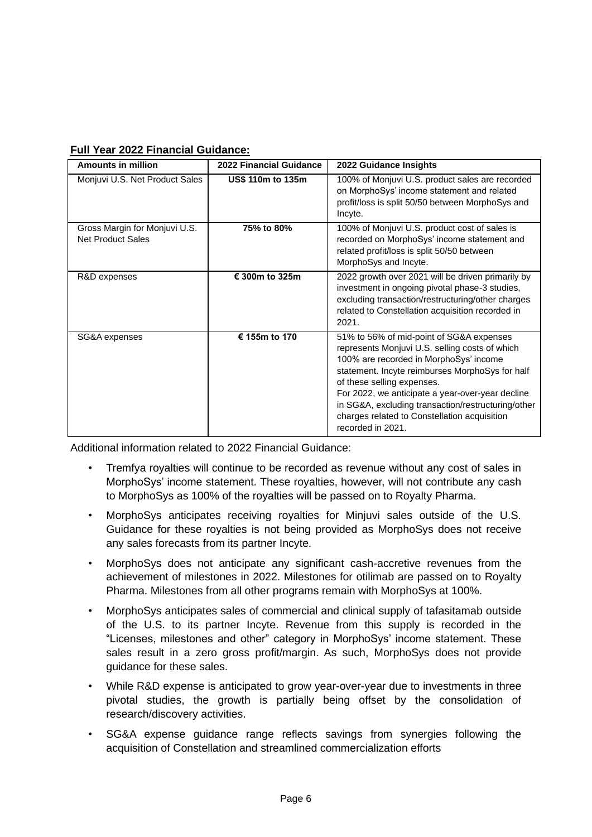|  |  | <b>Full Year 2022 Financial Guidance:</b> |  |
|--|--|-------------------------------------------|--|
|  |  |                                           |  |

| <b>Amounts in million</b>                          | <b>2022 Financial Guidance</b> | 2022 Guidance Insights                                                                                                                                                                                                                                                                                                                                                                               |
|----------------------------------------------------|--------------------------------|------------------------------------------------------------------------------------------------------------------------------------------------------------------------------------------------------------------------------------------------------------------------------------------------------------------------------------------------------------------------------------------------------|
| Monjuvi U.S. Net Product Sales                     | US\$ 110m to 135m              | 100% of Monjuvi U.S. product sales are recorded<br>on MorphoSys' income statement and related<br>profit/loss is split 50/50 between MorphoSys and<br>Incyte.                                                                                                                                                                                                                                         |
| Gross Margin for Monjuvi U.S.<br>Net Product Sales | 75% to 80%                     | 100% of Monjuvi U.S. product cost of sales is<br>recorded on MorphoSys' income statement and<br>related profit/loss is split 50/50 between<br>MorphoSys and Incyte.                                                                                                                                                                                                                                  |
| R&D expenses                                       | € 300m to 325m                 | 2022 growth over 2021 will be driven primarily by<br>investment in ongoing pivotal phase-3 studies,<br>excluding transaction/restructuring/other charges<br>related to Constellation acquisition recorded in<br>2021.                                                                                                                                                                                |
| SG&A expenses                                      | € 155m to 170                  | 51% to 56% of mid-point of SG&A expenses<br>represents Monjuvi U.S. selling costs of which<br>100% are recorded in MorphoSys' income<br>statement. Incyte reimburses MorphoSys for half<br>of these selling expenses.<br>For 2022, we anticipate a year-over-year decline<br>in SG&A, excluding transaction/restructuring/other<br>charges related to Constellation acquisition<br>recorded in 2021. |

Additional information related to 2022 Financial Guidance:

- Tremfya royalties will continue to be recorded as revenue without any cost of sales in MorphoSys' income statement. These royalties, however, will not contribute any cash to MorphoSys as 100% of the royalties will be passed on to Royalty Pharma.
- MorphoSys anticipates receiving royalties for Minjuvi sales outside of the U.S. Guidance for these royalties is not being provided as MorphoSys does not receive any sales forecasts from its partner Incyte.
- MorphoSys does not anticipate any significant cash-accretive revenues from the achievement of milestones in 2022. Milestones for otilimab are passed on to Royalty Pharma. Milestones from all other programs remain with MorphoSys at 100%.
- MorphoSys anticipates sales of commercial and clinical supply of tafasitamab outside of the U.S. to its partner Incyte. Revenue from this supply is recorded in the "Licenses, milestones and other" category in MorphoSys' income statement. These sales result in a zero gross profit/margin. As such, MorphoSys does not provide guidance for these sales.
- While R&D expense is anticipated to grow year-over-year due to investments in three pivotal studies, the growth is partially being offset by the consolidation of research/discovery activities.
- SG&A expense guidance range reflects savings from synergies following the acquisition of Constellation and streamlined commercialization efforts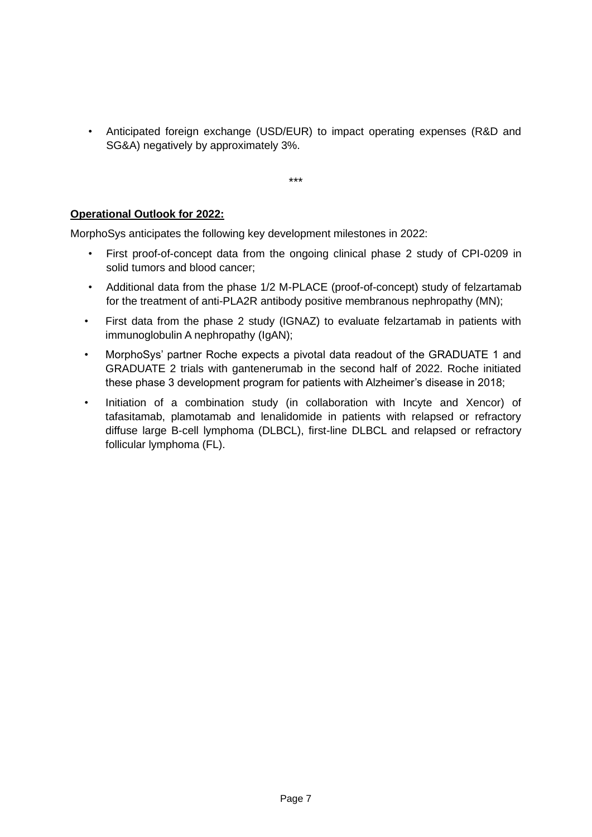• Anticipated foreign exchange (USD/EUR) to impact operating expenses (R&D and SG&A) negatively by approximately 3%.

\*\*\*

# **Operational Outlook for 2022:**

MorphoSys anticipates the following key development milestones in 2022:

- First proof-of-concept data from the ongoing clinical phase 2 study of CPI-0209 in solid tumors and blood cancer;
- Additional data from the phase 1/2 M-PLACE (proof-of-concept) study of felzartamab for the treatment of anti-PLA2R antibody positive membranous nephropathy (MN);
- First data from the phase 2 study (IGNAZ) to evaluate felzartamab in patients with immunoglobulin A nephropathy (IgAN);
- MorphoSys' partner Roche expects a pivotal data readout of the GRADUATE 1 and GRADUATE 2 trials with gantenerumab in the second half of 2022. Roche initiated these phase 3 development program for patients with Alzheimer's disease in 2018;
- Initiation of a combination study (in collaboration with Incyte and Xencor) of tafasitamab, plamotamab and lenalidomide in patients with relapsed or refractory diffuse large B-cell lymphoma (DLBCL), first-line DLBCL and relapsed or refractory follicular lymphoma (FL).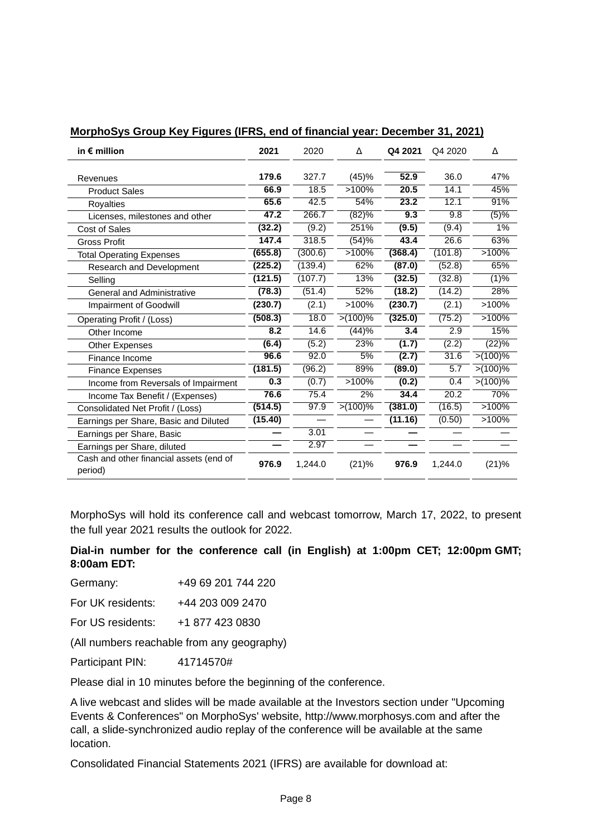| in $\epsilon$ million                              | 2021    | 2020    | Δ          | Q4 2021 | Q4 2020 | Δ          |
|----------------------------------------------------|---------|---------|------------|---------|---------|------------|
| Revenues                                           | 179.6   | 327.7   | (45)%      | 52.9    | 36.0    | 47%        |
| <b>Product Sales</b>                               | 66.9    | 18.5    | >100%      | 20.5    | 14.1    | 45%        |
| <b>Royalties</b>                                   | 65.6    | 42.5    | 54%        | 23.2    | 12.1    | 91%        |
| Licenses, milestones and other                     | 47.2    | 266.7   | (82)%      | 9.3     | 9.8     | (5)%       |
| <b>Cost of Sales</b>                               | (32.2)  | (9.2)   | 251%       | (9.5)   | (9.4)   | $1\%$      |
| <b>Gross Profit</b>                                | 147.4   | 318.5   | (54)%      | 43.4    | 26.6    | 63%        |
| <b>Total Operating Expenses</b>                    | (655.8) | (300.6) | >100%      | (368.4) | (101.8) | >100%      |
| Research and Development                           | (225.2) | (139.4) | 62%        | (87.0)  | (52.8)  | 65%        |
| Selling                                            | (121.5) | (107.7) | 13%        | (32.5)  | (32.8)  | (1)%       |
| <b>General and Administrative</b>                  | (78.3)  | (51.4)  | 52%        | (18.2)  | (14.2)  | 28%        |
| <b>Impairment of Goodwill</b>                      | (230.7) | (2.1)   | $>100\%$   | (230.7) | (2.1)   | >100%      |
| Operating Profit / (Loss)                          | (508.3) | 18.0    | $>(100)\%$ | (325.0) | (75.2)  | >100%      |
| Other Income                                       | 8.2     | 14.6    | (44)%      | 3.4     | 2.9     | 15%        |
| Other Expenses                                     | (6.4)   | (5.2)   | 23%        | (1.7)   | (2.2)   | (22)%      |
| Finance Income                                     | 96.6    | 92.0    | 5%         | (2.7)   | 31.6    | $>(100)\%$ |
| <b>Finance Expenses</b>                            | (181.5) | (96.2)  | 89%        | (89.0)  | 5.7     | $>(100)\%$ |
| Income from Reversals of Impairment                | 0.3     | (0.7)   | >100%      | (0.2)   | 0.4     | $>(100)\%$ |
| Income Tax Benefit / (Expenses)                    | 76.6    | 75.4    | 2%         | 34.4    | 20.2    | 70%        |
| Consolidated Net Profit / (Loss)                   | (514.5) | 97.9    | $>(100)\%$ | (381.0) | (16.5)  | >100%      |
| Earnings per Share, Basic and Diluted              | (15.40) |         |            | (11.16) | (0.50)  | >100%      |
| Earnings per Share, Basic                          |         | 3.01    |            |         |         |            |
| Earnings per Share, diluted                        |         | 2.97    |            |         |         |            |
| Cash and other financial assets (end of<br>period) | 976.9   | 1,244.0 | (21)%      | 976.9   | 1,244.0 | (21)%      |

### **MorphoSys Group Key Figures (IFRS, end of financial year: December 31, 2021)**

MorphoSys will hold its conference call and webcast tomorrow, March 17, 2022, to present the full year 2021 results the outlook for 2022.

**Dial-in number for the conference call (in English) at 1:00pm CET; 12:00pm GMT; 8:00am EDT:**

- Germany: +49 69 201 744 220
- For UK residents: +44 203 009 2470

For US residents: +1 877 423 0830

(All numbers reachable from any geography)

Participant PIN: 41714570#

Please dial in 10 minutes before the beginning of the conference.

A live webcast and slides will be made available at the Investors section under "Upcoming Events & Conferences" on MorphoSys' website, [http://www.morphosys.com](https://eqs-cockpit.com/cgi-bin/fncls.ssp?fn=redirect&url=af6b62de1fd30b6c8f4ab4736ef0907c&application_id=1299903&user_id=0&application_name=news) and after the call, a slide-synchronized audio replay of the conference will be available at the same location.

Consolidated Financial Statements 2021 (IFRS) are available for download at: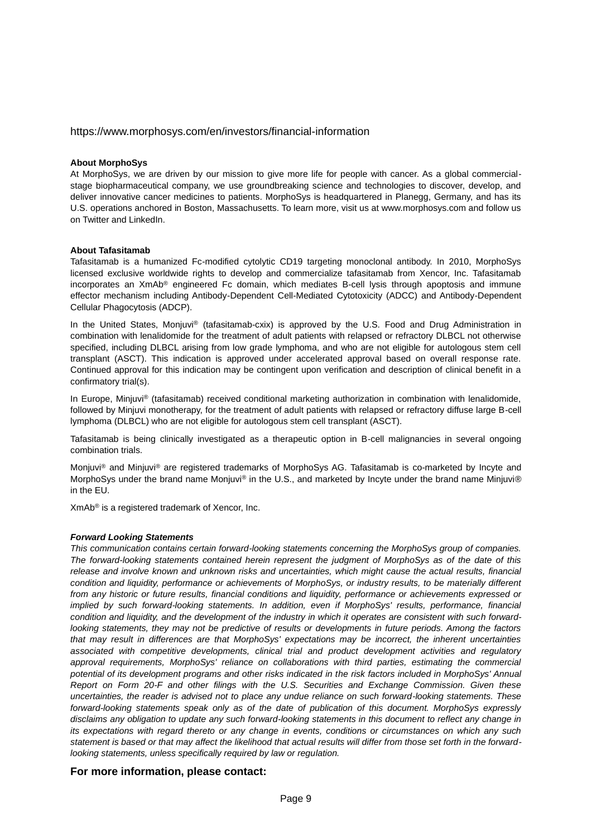#### https://www.morphosys.com/en/investors/financial-information

#### **About MorphoSys**

At MorphoSys, we are driven by our mission to give more life for people with cancer. As a global commercialstage biopharmaceutical company, we use groundbreaking science and technologies to discover, develop, and deliver innovative cancer medicines to patients. MorphoSys is headquartered in Planegg, Germany, and has its U.S. operations anchored in Boston, Massachusetts. To learn more, visit us at www.morphosys.com and follow us on Twitter and LinkedIn.

#### **About Tafasitamab**

Tafasitamab is a humanized Fc-modified cytolytic CD19 targeting monoclonal antibody. In 2010, MorphoSys licensed exclusive worldwide rights to develop and commercialize tafasitamab from Xencor, Inc. Tafasitamab incorporates an XmAb® engineered Fc domain, which mediates B-cell lysis through apoptosis and immune effector mechanism including Antibody-Dependent Cell-Mediated Cytotoxicity (ADCC) and Antibody-Dependent Cellular Phagocytosis (ADCP).

In the United States, Monjuvi® (tafasitamab-cxix) is approved by the U.S. Food and Drug Administration in combination with lenalidomide for the treatment of adult patients with relapsed or refractory DLBCL not otherwise specified, including DLBCL arising from low grade lymphoma, and who are not eligible for autologous stem cell transplant (ASCT). This indication is approved under accelerated approval based on overall response rate. Continued approval for this indication may be contingent upon verification and description of clinical benefit in a confirmatory trial(s).

In Europe, Miniuvi® (tafasitamab) received conditional marketing authorization in combination with lenalidomide, followed by Minjuvi monotherapy, for the treatment of adult patients with relapsed or refractory diffuse large B-cell lymphoma (DLBCL) who are not eligible for autologous stem cell transplant (ASCT).

Tafasitamab is being clinically investigated as a therapeutic option in B-cell malignancies in several ongoing combination trials.

Monjuvi® and Minjuvi® are registered trademarks of MorphoSys AG. Tafasitamab is co-marketed by Incyte and MorphoSys under the brand name Monjuvi® in the U.S., and marketed by Incyte under the brand name Minjuvi® in the EU.

XmAb® is a registered trademark of Xencor, Inc.

#### *Forward Looking Statements*

*This communication contains certain forward-looking statements concerning the MorphoSys group of companies. The forward-looking statements contained herein represent the judgment of MorphoSys as of the date of this*  release and involve known and unknown risks and uncertainties, which might cause the actual results, financial condition and liquidity, performance or achievements of MorphoSys, or industry results, to be materially different *from any historic or future results, financial conditions and liquidity, performance or achievements expressed or implied by such forward-looking statements. In addition, even if MorphoSys' results, performance, financial condition and liquidity, and the development of the industry in which it operates are consistent with such forwardlooking statements, they may not be predictive of results or developments in future periods. Among the factors that may result in differences are that MorphoSys' expectations may be incorrect, the inherent uncertainties associated with competitive developments, clinical trial and product development activities and regulatory approval requirements, MorphoSys' reliance on collaborations with third parties, estimating the commercial potential of its development programs and other risks indicated in the risk factors included in MorphoSys' Annual Report on Form 20-F and other filings with the U.S. Securities and Exchange Commission. Given these uncertainties, the reader is advised not to place any undue reliance on such forward-looking statements. These forward-looking statements speak only as of the date of publication of this document. MorphoSys expressly disclaims any obligation to update any such forward-looking statements in this document to reflect any change in its expectations with regard thereto or any change in events, conditions or circumstances on which any such statement is based or that may affect the likelihood that actual results will differ from those set forth in the forwardlooking statements, unless specifically required by law or regulation.*

#### **For more information, please contact:**